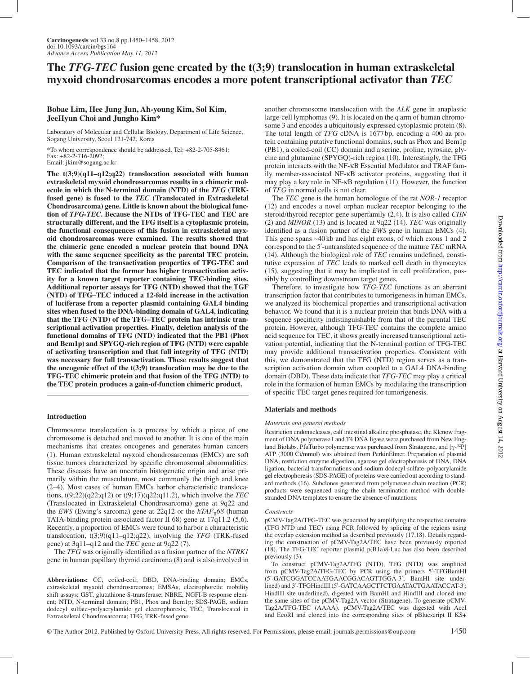# **The** *TFG-TEC* **fusion gene created by the t(3;9) translocation in human extraskeletal myxoid chondrosarcomas encodes a more potent transcriptional activator than** *TEC*

# **Bobae Lim, Hee Jung Jun, Ah-young Kim, Sol Kim, JeeHyun Choi and Jungho Kim\***

Laboratory of Molecular and Cellular Biology, Department of Life Science, Sogang University, Seoul 121-742, Korea

\*To whom correspondence should be addressed. Tel: +82-2-705-8461; Fax: +82-2-716-2092; Email: jkim@sogang.ac.kr

**The t(3;9)(q11–q12;q22) translocation associated with human extraskeletal myxoid chondrosarcomas results in a chimeric molecule in which the N-terminal domain (NTD) of the** *TFG* **(TRKfused gene) is fused to the** *TEC* **(Translocated in Extraskeletal Chondrosarcoma) gene. Little is known about the biological function of** *TFG-TEC***. Because the NTDs of TFG-TEC and TEC are structurally different, and the TFG itself is a cytoplasmic protein, the functional consequences of this fusion in extraskeletal myxoid chondrosarcomas were examined. The results showed that the chimeric gene encoded a nuclear protein that bound DNA with the same sequence specificity as the parental TEC protein. Comparison of the transactivation properties of TFG-TEC and TEC indicated that the former has higher transactivation activity for a known target reporter containing TEC-binding sites. Additional reporter assays for TFG (NTD) showed that the TGF (NTD) of TFG–TEC induced a 12-fold increase in the activation of luciferase from a reporter plasmid containing GAL4 binding sites when fused to the DNA-binding domain of GAL4, indicating that the TFG (NTD) of the TFG–TEC protein has intrinsic transcriptional activation properties. Finally, deletion analysis of the functional domains of TFG (NTD) indicated that the PB1 (Phox and Bem1p) and SPYGQ-rich region of TFG (NTD) were capable of activating transcription and that full integrity of TFG (NTD) was necessary for full transactivation. These results suggest that the oncogenic effect of the t(3;9) translocation may be due to the TFG-TEC chimeric protein and that fusion of the TFG (NTD) to the TEC protein produces a gain-of-function chimeric product.**

## **Introduction**

Chromosome translocation is a process by which a piece of one chromosome is detached and moved to another. It is one of the main mechanisms that creates oncogenes and generates human cancers (1). Human extraskeletal myxoid chondrosarcomas (EMCs) are soft tissue tumors characterized by specific chromosomal abnormalities. These diseases have an uncertain histogenetic origin and arise primarily within the musculature, most commonly the thigh and knee (2–4). Most cases of human EMCs harbor characteristic translocations, t(9;22)(q22;q12) or t(9;17)(q22;q11.2), which involve the *TEC* (Translocated in Extraskeletal Chondrosarcoma) gene at 9q22 and the *EWS* (Ewing's sarcoma) gene at  $22q12$  or the  $hTAF<sub>II</sub>68$  (human TATA-binding protein-associated factor II 68) gene at 17q11.2 (5,6). Recently, a proportion of EMCs were found to harbor a characteristic translocation, t(3;9)(q11–q12;q22), involving the *TFG* (TRK-fused gene) at 3q11–q12 and the *TEC* gene at 9q22 (7).

The *TFG* was originally identified as a fusion partner of the *NTRK1* gene in human papillary thyroid carcinoma (8) and is also involved in

**Abbreviations:** CC, coiled-coil; DBD, DNA-binding domain; EMCs, extraskeletal myxoid chondrosarcomas; EMSAs, electrophoretic mobility shift assays; GST, glutathione S-transferase; NBRE, NGFI-B response element; NTD, N-terminal domain; PB1, Phox and Bem1p; SDS-PAGE, sodium dodecyl sulfate–polyacrylamide gel electrophoresis; TEC, Translocated in Extraskeletal Chondrosarcoma; TFG, TRK-fused gene.

another chromosome translocation with the *ALK* gene in anaplastic large-cell lymphomas (9). It is located on the q arm of human chromosome 3 and encodes a ubiquitously expressed cytoplasmic protein (8). The total length of *TFG* cDNA is 1677 bp, encoding a 400 aa protein containing putative functional domains, such as Phox and Bem1p (PB1), a coiled-coil (CC) domain and a serine, proline, tyrosine, glycine and glutamine (SPYGQ)-rich region (10). Interestingly, the TFG protein interacts with the NF-κB Essential Modulator and TRAF family member-associated NF-κB activator proteins, suggesting that it may play a key role in NF-κB regulation (11). However, the function of *TFG* in normal cells is not clear.

The *TEC* gene is the human homologue of the rat *NOR-1* receptor (12) and encodes a novel orphan nuclear receptor belonging to the steroid/thyroid receptor gene superfamily (2,4). It is also called *CHN* (2) and *MINOR* (13) and is located at 9q22 (14). *TEC* was originally identified as a fusion partner of the *EWS* gene in human EMCs (4). This gene spans ~40 kb and has eight exons, of which exons 1 and 2 correspond to the 5´-untranslated sequence of the mature *TEC* mRNA (14). Although the biological role of *TEC* remains undefined, constitutive expression of *TEC* leads to marked cell death in thymocytes (15), suggesting that it may be implicated in cell proliferation, possibly by controlling downstream target genes.

Therefore, to investigate how *TFG-TEC* functions as an aberrant transcription factor that contributes to tumorigenesis in human EMCs, we analyzed its biochemical properties and transcriptional activation behavior. We found that it is a nuclear protein that binds DNA with a sequence specificity indistinguishable from that of the parental TEC protein. However, although TFG-TEC contains the complete amino acid sequence for TEC, it shows greatly increased transcriptional activation potential, indicating that the N-terminal portion of TFG-TEC may provide additional transactivation properties. Consistent with this, we demonstrated that the TFG (NTD) region serves as a transcription activation domain when coupled to a GAL4 DNA-binding domain (DBD). These data indicate that *TFG-TEC* may play a critical role in the formation of human EMCs by modulating the transcription of specific TEC target genes required for tumorigenesis.

## **Materials and methods**

#### *Materials and general methods*

Restriction endonucleases, calf intestinal alkaline phosphatase, the Klenow fragment of DNA polymerase I and T4 DNA ligase were purchased from New England Biolabs. PfuTurbo polymerase was purchased from Stratagene, and [γ-<sup>32</sup>P] ATP (3000 Ci/mmol) was obtained from PerkinElmer. Preparation of plasmid DNA, restriction enzyme digestion, agarose gel electrophoresis of DNA, DNA ligation, bacterial transformations and sodium dodecyl sulfate–polyacrylamide gel electrophoresis (SDS-PAGE) of proteins were carried out according to standard methods (16). Subclones generated from polymerase chain reaction (PCR) products were sequenced using the chain termination method with doublestranded DNA templates to ensure the absence of mutations.

#### *Constructs*

pCMV-Tag2A/TFG-TEC was generated by amplifying the respective domains (TFG NTD and TEC) using PCR followed by splicing of the regions using the overlap extension method as described previously (17,18). Details regarding the construction of pCMV-Tag2A/TEC have been previously reported (18). The TFG-TEC reporter plasmid p(B1a)8-Luc has also been described previously (3).

To construct pCMV-Tag2A/TFG (NTD), TFG (NTD) was amplified from pCMV-Tag2A/TFG-TEC by PCR using the primers 5´-TFGBamHI (5´-GATCGGATCCAATGAACGGACAGTTGGA-3´; BamHI site underlined) and 3´-TFGHindIII (5´-GATCAAGCTTCTGAATACTGAATACCAT-3´; HindIII site underlined), digested with BamHI and HindIII and cloned into the same sites of the pCMV-Tag2A vector (Stratagene). To generate pCMV-Tag2A/TFG-TEC (AAAA), pCMV-Tag2A/TEC was digested with AccI and EcoRI and cloned into the corresponding sites of pBluescript II KS+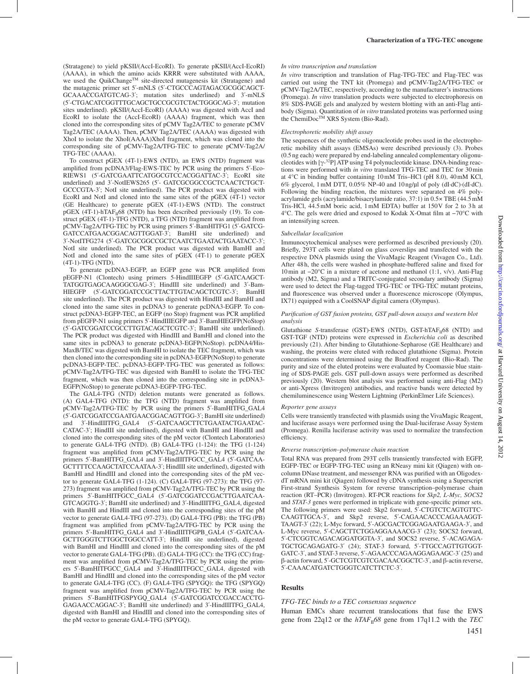(Stratagene) to yield pKSII/(AccI-EcoRI). To generate pKSII/(AccI-EcoRI) (AAAA), in which the amino acids KRRR were substituted with AAAA, we used the QuikChange™ site-directed mutagenesis kit (Stratagene) and the mutagenic primer set 5´-mNLS (5´-CTGCCCAGTAGACGCGGCAGCT-GCAAACCGATGTCAG-3´; mutation sites underlined) and 3´-mNLS (5´-CTGACATCGGTTTGCAGCTGCCGCGTCTACTGGGCAG-3´; mutation sites underlined). pKSII/(AccI-EcoRI) (AAAA) was digested with AccI and EcoRI to isolate the (AccI-EcoRI) (AAAA) fragment, which was then cloned into the corresponding sites of pCMV Tag2A/TEC to generate pCMV Tag2A/TEC (AAAA). Then, pCMV Tag2A/TEC (AAAA) was digested with XhoI to isolate the XhoI(AAAA)XhoI fragment, which was cloned into the corresponding site of pCMV-Tag2A/TFG-TEC to generate pCMV-Tag2A/ TFG-TEC (AAAA).

To construct pGEX (4T-1)-EWS (NTD), an EWS (NTD) fragment was amplified from pcDNA3/Flag-EWS-TEC by PCR using the primers 5´-Eco-RIEWS1 (5´-GATCGAATTCATGGCGTCCACGGATTAC-3´; EcoRI site underlined) and 3´-NotIEWS265 (5´- GATCGCGGCCGCTCAACTCTGCT-GCCCGTA-3´; NotI site underlined). The PCR product was digested with EcoRI and NotI and cloned into the same sites of the pGEX (4T-1) vector (GE Healthcare) to generate pGEX (4T-1)-EWS (NTD). The construct pGEX (4T-1)-hTAF $_{\text{II}}$ 68 (NTD) has been described previously (19). To construct pGEX (4T-1)-TFG (NTD), a TFG (NTD) fragment was amplified from pCMV-Tag2A/TFG-TEC by PCR using primers 5´-BamHITFG1 (5´-GATCG-GATCCATGAACGGACAGTTGGAT-3´; BamHI site underlined) and 3´-NotITFG274 (5´-GATCGCGGCCGCTCAATCTGAATACTGAATACC-3´; NotI site underlined). The PCR product was digested with BamHI and NotI and cloned into the same sites of pGEX (4T-1) to generate pGEX (4T-1)-TFG (NTD).

To generate pcDNA3-EGFP, an EGFP gene was PCR amplified from pEGFP-N1 (Clontech) using primers 5-HindIIIEGFP (5´-GATCAAGCT-TATGGTGAGCAAGGGCGAG-3´; HindIII site underlined) and 3´-Bam-HIEGFP (5'-GATCGGATCCGCTTACTTGTACAGCTCGTC-3': BamHI site underlined). The PCR product was digested with HindIII and BamHI and cloned into the same sites in pcDNA3 to generate pcDNA3-EGFP. To construct pcDNA3-EGFP-TEC, an EGFP (no Stop) fragment was PCR amplified from pEGFP-N1 using primers 5´-HindIIIEGFP and 3´-BamHIEGFP(NoStop) (5´-GATCGGATCCGCCTTGTACAGCTCGTC-3´; BamHI site underlined). The PCR product was digested with HindIII and BamHI and cloned into the same sites in pcDNA3 to generate pcDNA3-EGFP(NoStop). pcDNA4/His-MaxB/TEC was digested with BamHI to isolate the TEC fragment, which was then cloned into the corresponding site in pcDNA3-EGFP(NoStop) to generate pcDNA3-EGFP-TEC. pcDNA3-EGFP-TFG-TEC was generated as follows: pCMV-Tag2A/TFG-TEC was digested with BamHI to isolate the TFG-TEC fragment, which was then cloned into the corresponding site in pcDNA3- EGFP(NoStop) to generate pcDNA3-EGFP-TFG-TEC.

The GAL4-TFG (NTD) deletion mutants were generated as follows. (A) GAL4-TFG (NTD): the TFG (NTD) fragment was amplified from pCMV-Tag2A/TFG-TEC by PCR using the primers 5´-BamHITFG\_GAL4 (5´-GATCGGATCCGAATGAACGGACAGTTGG-3´; BamHI site underlined) and 3´-HindIIITFG\_GAL4 (5´-GATCAAGCTTCTGAATACTGAATAC-CATAC-3´; HindIII site underlined), digested with BamHI and HindIII and cloned into the corresponding sites of the pM vector (Clontech Laboratories) to generate GAL4-TFG (NTD). (B) GAL4-TFG (1-124): the TFG (1-124) fragment was amplified from pCMV-Tag2A/TFG-TEC by PCR using the primers 5´-BamHITFG\_GAL4 and 3´-HindIIITFGCC\_GAL4 (5´-GATCAA-GCTTTTCCAAGCTATCCAATAA-3´; HindIII site underlined), digested with BamHI and HindIII and cloned into the corresponding sites of the pM vector to generate GAL4-TFG (1-124). (C) GAL4-TFG (97-273): the TFG (97- 273) fragment was amplified from pCMV-Tag2A/TFG-TEC by PCR using the primers 5´-BamHITFGCC\_GAL4 (5´-GATCGGATCCGACTTGAATCAA-GTCAGGTG-3´; BamHI site underlined) and 3´-HindIIITFG\_GAL4, digested with BamHI and HindIII and cloned into the corresponding sites of the pM vector to generate GAL4-TFG (97-273). (D) GAL4-TFG (PB): the TFG (PB) fragment was amplified from pCMV-Tag2A/TFG-TEC by PCR using the primers 5´-BamHITFG\_GAL4 and 3´-HindIIITFGPB\_GAL4 (5´-GATCAA-GCTTGGGTCTTGGCTGGCCATT-3´; HindIII site underlined), digested with BamHI and HindIII and cloned into the corresponding sites of the pM vector to generate GAL4-TFG (PB). (E) GAL4-TFG (CC): the TFG (CC) fragment was amplified from pCMV-Tag2A/TFG-TEC by PCR using the primers 5´-BamHITFGCC\_GAL4 and 3´-HindIIITFGCC\_GAL4, digested with BamHI and HindIII and cloned into the corresponding sites of the pM vector to generate GAL4-TFG (CC). (F) GAL4-TFG (SPYGQ): the TFG (SPYGQ) fragment was amplified from pCMV-Tag2A/TFG-TEC by PCR using the primers 5'-BamHITFGSPYGQ\_GAL4 (5'-GATCGGATCCGACCACCTG-GAGAACCAGGAC-3´; BamHI site underlined) and 3´-HindIIITFG\_GAL4, digested with BamHI and HindIII and cloned into the corresponding sites of the pM vector to generate GAL4-TFG (SPYGQ).

#### *In vitro transcription and translation*

*In vitro* transcription and translation of Flag-TFG-TEC and Flag-TEC was carried out using the TNT kit (Promega) and pCMV-Tag2A/TFG-TEC or pCMV-Tag2A/TEC, respectively, according to the manufacturer's instructions (Promega). *In vitro* translation products were subjected to electrophoresis on 8% SDS-PAGE gels and analyzed by western blotting with an anti-Flag antibody (Sigma). Quantitation of *in vitro* translated proteins was performed using the ChemiDoc<sup>TM</sup> XRS System (Bio-Rad).

#### *Electrophoretic mobility shift assay*

The sequences of the synthetic oligonucleotide probes used in the electrophoretic mobility shift assays (EMSAs) were described previously (3). Probes (0.5ng each) were prepared by end-labeling annealed complementary oligonucleotides with  $[\gamma^{-32}P]$  ATP using T4 polynucleotide kinase. DNA-binding reactions were performed with *in vitro* translated TFG-TEC and TEC for 30min at 4°C in binding buffer containing 10mM Tris–HCl (pH 8.0), 40mM KCl, 6% glycerol, 1mM DTT, 0.05% NP-40 and 10ng/µl of poly (dI∙dC)∙(dI∙dC). Following the binding reaction, the mixtures were separated on 4% polyacrylamide gels (acrylamide/bisacrylamide ratio, 37:1) in 0.5× TBE (44.5mM Tris-HCl, 44.5mM boric acid, 1mM EDTA) buffer at 150V for 2 to 3h at 4°C. The gels were dried and exposed to Kodak X-Omat film at −70°C with an intensifying screen.

#### *Subcellular localization*

Immunocytochemical analyses were performed as described previously (20). Briefly, 293T cells were plated on glass coverslips and transfected with the respective DNA plasmids using the VivaMagic Reagent (Vivagen Co., Ltd). After 48 h, the cells were washed in phosphate-buffered saline and fixed for 10min at −20°C in a mixture of acetone and methanol (1:1, v/v). Anti-Flag antibody (M2, Sigma) and a TRITC-conjugated secondary antibody (Sigma) were used to detect the Flag-tagged TFG-TEC or TFG-TEC mutant proteins, and fluorescence was observed under a fluorescence microscope (Olympus, IX71) equipped with a CoolSNAP digital camera (Olympus).

#### *Purification of GST fusion proteins, GST pull-down assays and western blot analysis*

Glutathione *S*-transferase (GST)-EWS (NTD), GST-hTAF<sub>II</sub>68 (NTD) and GST-TGF (NTD) proteins were expressed in *Escherichia coli* as described previously (21). After binding to Glutathione-Sepharose (GE Healthcare) and washing, the proteins were eluted with reduced glutathione (Sigma). Protein concentrations were determined using the Bradford reagent (Bio-Rad). The purity and size of the eluted proteins were evaluated by Coomassie blue staining of SDS-PAGE gels. GST pull-down assays were performed as described previously (20). Western blot analysis was performed using anti-Flag (M2) or anti-Xpress (Invitrogen) antibodies, and reactive bands were detected by chemiluminescence using Western Lightning (PerkinElmer Life Sciences).

#### *Reporter gene assays*

Cells were transiently transfected with plasmids using the VivaMagic Reagent, and luciferase assays were performed using the Dual-luciferase Assay System (Promega). Renilla luciferase activity was used to normalize the transfection efficiency.

#### *Reverse transcription–polymerase chain reaction*

Total RNA was prepared from 293T cells transiently transfected with EGFP, EGFP-TEC or EGFP-TFG-TEC using an RNeasy mini kit (Qiagen) with oncolumn DNase treatment, and messenger RNA was purified with an OligodexdT mRNA mini kit (Qiagen) followed by cDNA synthesis using a Superscript First-strand Synthesis System for reverse transcription–polymerase chain reaction (RT–PCR) (Invitrogen). RT-PCR reactions for *Skp2, L-Myc, SOCS2* and *STAT-3* genes were performed in triplicate with gene-specific primer sets. The following primers were used: Skp2 forward, 5´-CTGTCTCAGTGTTC-CAAGTTGCA-3´, and Skp2 reverse, 5´-CAGAACACCCAGAAAGGT-TAAGT-3´ (22); L-Myc forward, 5´-AGCGACTCGGAGAATGAAGA-3´, and L-Myc reverse, 5´-CAGCTTCTGGAGGAAAACG-3´ (23); SOCS2 forward, 5´-CTCGGTCAGACAGGATGGTA-3´, and SOCS2 reverse, 5´-ACAGAGA-TGCTGCAGAGATG-3´ (24); STAT-3 forward, 5´-TTGCCAGTTGTGGT-GATC-3´, and STAT-3 reverse, 5´-AGAACCCAGAAGGAGAAGC-3´ (25) and β-actin forward, 5´-GCTCGTCGTCGACAACGGCTC-3´, and β-actin reverse, 5´-CAAACATGATCTGGGTCATCTTCTC-3´.

## **Results**

#### *TFG-TEC binds to a TEC consensus sequence*

Human EMCs share recurrent translocations that fuse the EWS gene from  $22q12$  or the  $hTAF<sub>II</sub>68$  gene from  $17q11.2$  with the *TEC*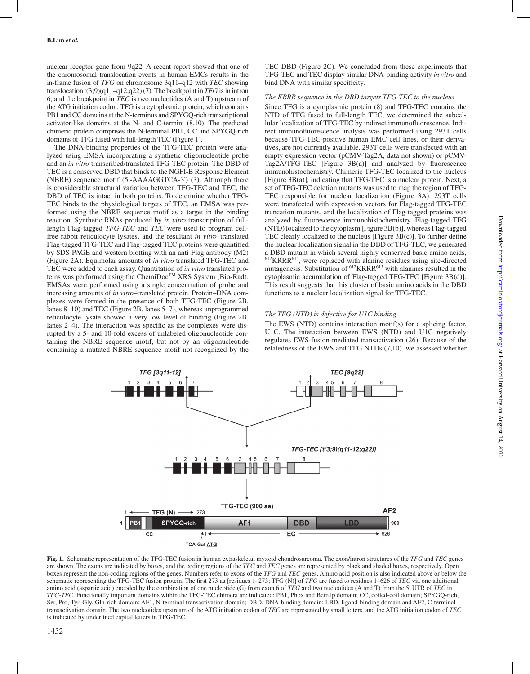nuclear receptor gene from 9q22. A recent report showed that one of the chromosomal translocation events in human EMCs results in the in-frame fusion of *TFG* on chromosome 3q11–q12 with *TEC* showing translocation t(3;9)(q11–q12;q22) (7). The breakpoint in *TFG* is in intron 6, and the breakpoint in *TEC* is two nucleotides (A and T) upstream of the ATG initiation codon. TFG is a cytoplasmic protein, which contains PB1 and CC domains at the N-terminus and SPYGQ-rich transcriptional activator-like domains at the N- and C-termini (8,10). The predicted chimeric protein comprises the N-terminal PB1, CC and SPYGQ-rich domains of TFG fused with full-length TEC (Figure 1).

The DNA-binding properties of the TFG-TEC protein were analyzed using EMSA incorporating a synthetic oligonucleotide probe and an *in vitro* transcribed/translated TFG-TEC protein. The DBD of TEC is a conserved DBD that binds to the NGFI-B Response Element (NBRE) sequence motif (5´-AAAAGGTCA-3´) (3). Although there is considerable structural variation between TFG-TEC and TEC, the DBD of TEC is intact in both proteins. To determine whether TFG-TEC binds to the physiological targets of TEC, an EMSA was performed using the NBRE sequence motif as a target in the binding reaction. Synthetic RNAs produced by *in vitro* transcription of fulllength Flag-tagged *TFG-TEC* and *TEC* were used to program cellfree rabbit reticulocyte lysates, and the resultant *in vitro*–translated Flag-tagged TFG-TEC and Flag-tagged TEC proteins were quantified by SDS-PAGE and western blotting with an anti-Flag antibody (M2) (Figure 2A). Equimolar amounts of *in vitro* translated TFG-TEC and TEC were added to each assay. Quantitation of *in vitro* translated proteins was performed using the ChemiDoc™ XRS System (Bio-Rad). EMSAs were performed using a single concentration of probe and increasing amounts of *in vitro*–translated protein. Protein–DNA complexes were formed in the presence of both TFG-TEC (Figure 2B, lanes 8–10) and TEC (Figure 2B, lanes 5–7), whereas unprogrammed reticulocyte lysate showed a very low level of binding (Figure 2B, lanes 2–4). The interaction was specific as the complexes were disrupted by a 5- and 10-fold excess of unlabeled oligonucleotide containing the NBRE sequence motif, but not by an oligonucleotide containing a mutated NBRE sequence motif not recognized by the TEC DBD (Figure 2C). We concluded from these experiments that TFG-TEC and TEC display similar DNA-binding activity *in vitro* and bind DNA with similar specificity.

#### *The KRRR sequence in the DBD targets TFG-TEC to the nucleus*

Since TFG is a cytoplasmic protein (8) and TFG-TEC contains the NTD of TFG fused to full-length TEC, we determined the subcellular localization of TFG-TEC by indirect immunofluorescence. Indirect immunofluorescence analysis was performed using 293T cells because TFG-TEC-positive human EMC cell lines, or their derivatives, are not currently available. 293T cells were transfected with an empty expression vector (pCMV-Tag2A, data not shown) or pCMV-Tag2A/TFG-TEC [Figure 3B(a)] and analyzed by fluorescence immunohistochemistry. Chimeric TFG-TEC localized to the nucleus [Figure 3B(a)], indicating that TFG-TEC is a nuclear protein. Next, a set of TFG-TEC deletion mutants was used to map the region of TFG-TEC responsible for nuclear localization (Figure 3A). 293T cells were transfected with expression vectors for Flag-tagged TFG-TEC truncation mutants, and the localization of Flag-tagged proteins was analyzed by fluorescence immunohistochemistry. Flag-tagged TFG (NTD) localized to the cytoplasm [Figure 3B(b)], whereas Flag-tagged TEC clearly localized to the nucleus [Figure 3B(c)]. To further define the nuclear localization signal in the DBD of TFG-TEC, we generated a DBD mutant in which several highly conserved basic amino acids, 612KRRR615, were replaced with alanine residues using site-directed mutagenesis. Substitution of 612KRRR615 with alanines resulted in the cytoplasmic accumulation of Flag-tagged TFG-TEC [Figure 3B(d)]. This result suggests that this cluster of basic amino acids in the DBD functions as a nuclear localization signal for TFG-TEC.

## *The TFG (NTD) is defective for U1C binding*

The EWS (NTD) contains interaction motif(s) for a splicing factor, U1C. The interaction between EWS (NTD) and U1C negatively regulates EWS-fusion-mediated transactivation (26). Because of the relatedness of the EWS and TFG NTDs (7,10), we assessed whether



**Fig. 1.** Schematic representation of the TFG-TEC fusion in human extraskeletal myxoid chondrosarcoma. The exon/intron structures of the *TFG* and *TEC* genes are shown. The exons are indicated by boxes, and the coding regions of the *TFG* and *TEC* genes are represented by black and shaded boxes, respectively. Open boxes represent the non-coding regions of the genes. Numbers refer to exons of the *TFG* and *TEC* genes. Amino acid position is also indicated above or below the schematic representing the TFG-TEC fusion protein. The first 273 aa [residues 1–273; TFG (N)] of *TFG* are fused to residues 1–626 of *TEC* via one additional amino acid (aspartic acid) encoded by the combination of one nucleotide (G) from exon 6 of *TFG* and two nucleotides (A and T) from the 5´ UTR of *TEC* in *TFG-TEC*. Functionally important domains within the TFG-TEC chimera are indicated: PB1, Phox and Bem1p domain; CC, coiled-coil domain; SPYGQ-rich, Ser, Pro, Tyr, Gly, Gln-rich domain; AF1, N-terminal transactivation domain; DBD, DNA-binding domain; LBD, ligand-binding domain and AF2, C-terminal transactivation domain. The two nucleotides upstream of the ATG initiation codon of *TEC* are represented by small letters, and the ATG initiation codon of *TEC* is indicated by underlined capital letters in TFG-TEC.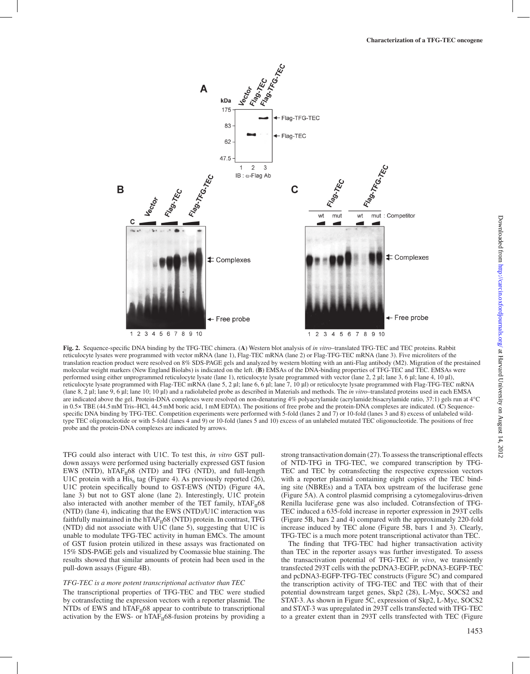

**Fig. 2.** Sequence-specific DNA binding by the TFG-TEC chimera. (**A**) Western blot analysis of *in vitro*–translated TFG-TEC and TEC proteins. Rabbit reticulocyte lysates were programmed with vector mRNA (lane 1), Flag-TEC mRNA (lane 2) or Flag-TFG-TEC mRNA (lane 3). Five microliters of the translation reaction product were resolved on 8% SDS-PAGE gels and analyzed by western blotting with an anti-Flag antibody (M2). Migration of the prestained molecular weight markers (New England Biolabs) is indicated on the left. (**B**) EMSAs of the DNA-binding properties of TFG-TEC and TEC. EMSAs were performed using either unprogrammed reticulocyte lysate (lane 1), reticulocyte lysate programmed with vector (lane 2, 2 µl; lane 3, 6 µl; lane 4, 10 µl), reticulocyte lysate programmed with Flag-TEC mRNA (lane 5, 2 µl; lane 6, 6 µl; lane 7, 10 µl) or reticulocyte lysate programmed with Flag-TFG-TEC mRNA (lane 8, 2 µl; lane 9, 6 µl; lane 10; 10 µl) and a radiolabeled probe as described in Materials and methods. The *in vitro*–translated proteins used in each EMSA are indicated above the gel. Protein-DNA complexes were resolved on non-denaturing 4% polyacrylamide (acrylamide:bisacrylamide ratio, 37:1) gels run at 4°C in 0.5× TBE (44.5mM Tris–HCl, 44.5mM boric acid, 1mM EDTA). The positions of free probe and the protein-DNA complexes are indicated. (**C**) Sequencespecific DNA binding by TFG-TEC. Competition experiments were performed with 5-fold (lanes 2 and 7) or 10-fold (lanes 3 and 8) excess of unlabeled wildtype TEC oligonucleotide or with 5-fold (lanes 4 and 9) or 10-fold (lanes 5 and 10) excess of an unlabeled mutated TEC oligonucleotide. The positions of free probe and the protein-DNA complexes are indicated by arrows.

TFG could also interact with U1C. To test this, *in vitro* GST pulldown assays were performed using bacterially expressed GST fusion EWS (NTD),  $hTAF<sub>u</sub>68$  (NTD) and TFG (NTD), and full-length U1C protein with a  $\overline{\text{His}}_6$  tag (Figure 4). As previously reported (26), U1C protein specifically bound to GST-EWS (NTD) (Figure 4A, lane 3) but not to GST alone (lane 2). Interestingly, U1C protein also interacted with another member of the TET family,  $hTAF<sub>II</sub>68$ (NTD) (lane 4), indicating that the EWS (NTD)/U1C interaction was faithfully maintained in the hTA $F_{\text{II}}$ 68 (NTD) protein. In contrast, TFG (NTD) did not associate with U1C (lane 5), suggesting that U1C is unable to modulate TFG-TEC activity in human EMCs. The amount of GST fusion protein utilized in these assays was fractionated on 15% SDS-PAGE gels and visualized by Coomassie blue staining. The results showed that similar amounts of protein had been used in the pull-down assays (Figure 4B).

#### *TFG-TEC is a more potent transcriptional activator than TEC*

The transcriptional properties of TFG-TEC and TEC were studied by cotransfecting the expression vectors with a reporter plasmid. The NTDs of EWS and hTAF $_{II}$ 68 appear to contribute to transcriptional activation by the EWS- or hTAF<sub>II</sub>68-fusion proteins by providing a strong transactivation domain (27). To assess the transcriptional effects of NTD-TFG in TFG-TEC, we compared transcription by TFG-TEC and TEC by cotransfecting the respective expression vectors with a reporter plasmid containing eight copies of the TEC binding site (NBREs) and a TATA box upstream of the luciferase gene (Figure 5A). A control plasmid comprising a cytomegalovirus-driven Renilla luciferase gene was also included. Cotransfection of TFG-TEC induced a 635-fold increase in reporter expression in 293T cells (Figure 5B, bars 2 and 4) compared with the approximately 220-fold increase induced by TEC alone (Figure 5B, bars 1 and 3). Clearly, TFG-TEC is a much more potent transcriptional activator than TEC.

The finding that TFG-TEC had higher transactivation activity than TEC in the reporter assays was further investigated. To assess the transactivation potential of TFG-TEC *in vivo*, we transiently transfected 293T cells with the pcDNA3-EGFP, pcDNA3-EGFP-TEC and pcDNA3-EGFP-TFG-TEC constructs (Figure 5C) and compared the transcription activity of TFG-TEC and TEC with that of their potential downstream target genes, Skp2 (28), L-Myc, SOCS2 and STAT-3. As shown in Figure 5C, expression of Skp2, L-Myc, SOCS2 and STAT-3 was upregulated in 293T cells transfected with TFG-TEC to a greater extent than in 293T cells transfected with TEC (Figure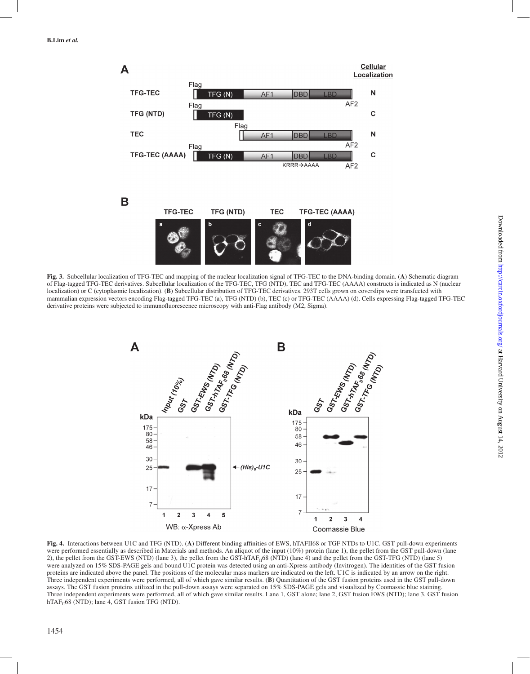

**Fig. 3.** Subcellular localization of TFG-TEC and mapping of the nuclear localization signal of TFG-TEC to the DNA-binding domain. (**A**) Schematic diagram of Flag-tagged TFG-TEC derivatives. Subcellular localization of the TFG-TEC, TFG (NTD), TEC and TFG-TEC (AAAA) constructs is indicated as N (nuclear localization) or C (cytoplasmic localization). (**B**) Subcellular distribution of TFG-TEC derivatives. 293T cells grown on coverslips were transfected with mammalian expression vectors encoding Flag-tagged TFG-TEC (a), TFG (NTD) (b), TEC (c) or TFG-TEC (AAAA) (d). Cells expressing Flag-tagged TFG-TEC derivative proteins were subjected to immunofluorescence microscopy with anti-Flag antibody (M2, Sigma).



**Fig. 4.** Interactions between U1C and TFG (NTD). (**A**) Different binding affinities of EWS, hTAFII68 or TGF NTDs to U1C. GST pull-down experiments were performed essentially as described in Materials and methods. An aliquot of the input (10%) protein (lane 1), the pellet from the GST pull-down (lane 2), the pellet from the GST-EWS (NTD) (lane 3), the pellet from the GST-hTAF<sub>II</sub>68 (NTD) (lane 4) and the pellet from the GST-TFG (NTD) (lane 5) were analyzed on 15% SDS-PAGE gels and bound U1C protein was detected using an anti-Xpress antibody (Invitrogen). The identities of the GST fusion proteins are indicated above the panel. The positions of the molecular mass markers are indicated on the left. U1C is indicated by an arrow on the right. Three independent experiments were performed, all of which gave similar results. (**B**) Quantitation of the GST fusion proteins used in the GST pull-down assays. The GST fusion proteins utilized in the pull-down assays were separated on 15% SDS-PAGE gels and visualized by Coomassie blue staining. Three independent experiments were performed, all of which gave similar results. Lane 1, GST alone; lane 2, GST fusion EWS (NTD); lane 3, GST fusion hTA $F_{II}$ 68 (NTD); lane 4, GST fusion TFG (NTD).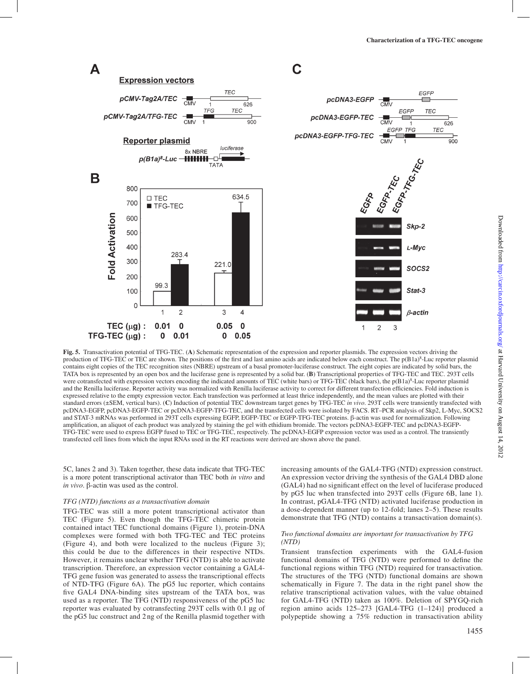

**Fig. 5.** Transactivation potential of TFG-TEC. (**A**) Schematic representation of the expression and reporter plasmids. The expression vectors driving the production of TFG-TEC or TEC are shown. The positions of the first and last amino acids are indicated below each construct. The p(B1a)<sup>8</sup>-Luc reporter plasmid contains eight copies of the TEC recognition sites (NBRE) upstream of a basal promoter-luciferase construct. The eight copies are indicated by solid bars, the TATA box is represented by an open box and the luciferase gene is represented by a solid bar. (**B**) Transcriptional properties of TFG-TEC and TEC. 293T cells were cotransfected with expression vectors encoding the indicated amounts of TEC (white bars) or TFG-TEC (black bars), the p(B1a)<sup>8</sup>-Luc reporter plasmid and the Renilla luciferase. Reporter activity was normalized with Renilla luciferase activity to correct for different transfection efficiencies. Fold induction is expressed relative to the empty expression vector. Each transfection was performed at least thrice independently, and the mean values are plotted with their standard errors (±SEM, vertical bars). (**C**) Induction of potential TEC downstream target genes by TFG-TEC *in vivo*. 293T cells were transiently transfected with pcDNA3-EGFP, pcDNA3-EGFP-TEC or pcDNA3-EGFP-TFG-TEC, and the transfected cells were isolated by FACS. RT–PCR analysis of Skp2, L-Myc, SOCS2 and STAT-3 mRNAs was performed in 293T cells expressing EGFP, EGFP-TEC or EGFP-TFG-TEC proteins. β-actin was used for normalization. Following amplification, an aliquot of each product was analyzed by staining the gel with ethidium bromide. The vectors pcDNA3-EGFP-TEC and pcDNA3-EGFP-TFG-TEC were used to express EGFP fused to TEC or TFG-TEC, respectively. The pcDNA3-EGFP expression vector was used as a control. The transiently transfected cell lines from which the input RNAs used in the RT reactions were derived are shown above the panel.

5C, lanes 2 and 3). Taken together, these data indicate that TFG-TEC is a more potent transcriptional activator than TEC both *in vitro* and *in vivo*. β-actin was used as the control.

#### *TFG (NTD) functions as a transactivation domain*

TFG-TEC was still a more potent transcriptional activator than TEC (Figure 5). Even though the TFG-TEC chimeric protein contained intact TEC functional domains (Figure 1), protein-DNA complexes were formed with both TFG-TEC and TEC proteins (Figure 4), and both were localized to the nucleus (Figure 3); this could be due to the differences in their respective NTDs. However, it remains unclear whether TFG (NTD) is able to activate transcription. Therefore, an expression vector containing a GAL4- TFG gene fusion was generated to assess the transcriptional effects of NTD-TFG (Figure 6A). The pG5 luc reporter, which contains five GAL4 DNA-binding sites upstream of the TATA box, was used as a reporter. The TFG (NTD) responsiveness of the pG5 luc reporter was evaluated by cotransfecting 293T cells with 0.1 µg of the pG5 luc construct and 2 ng of the Renilla plasmid together with increasing amounts of the GAL4-TFG (NTD) expression construct. An expression vector driving the synthesis of the GAL4 DBD alone (GAL4) had no significant effect on the level of luciferase produced by pG5 luc when transfected into 293T cells (Figure 6B, lane 1). In contrast, pGAL4-TFG (NTD) activated luciferase production in a dose-dependent manner (up to 12-fold; lanes 2–5). These results demonstrate that TFG (NTD) contains a transactivation domain(s).

#### *Two functional domains are important for transactivation by TFG (NTD)*

Transient transfection experiments with the GAL4-fusion functional domains of TFG (NTD) were performed to define the functional regions within TFG (NTD) required for transactivation. The structures of the TFG (NTD) functional domains are shown schematically in Figure 7. The data in the right panel show the relative transcriptional activation values, with the value obtained for GAL4-TFG (NTD) taken as 100%. Deletion of SPYGQ-rich region amino acids 125–273 [GAL4-TFG (1–124)] produced a polypeptide showing a 75% reduction in transactivation ability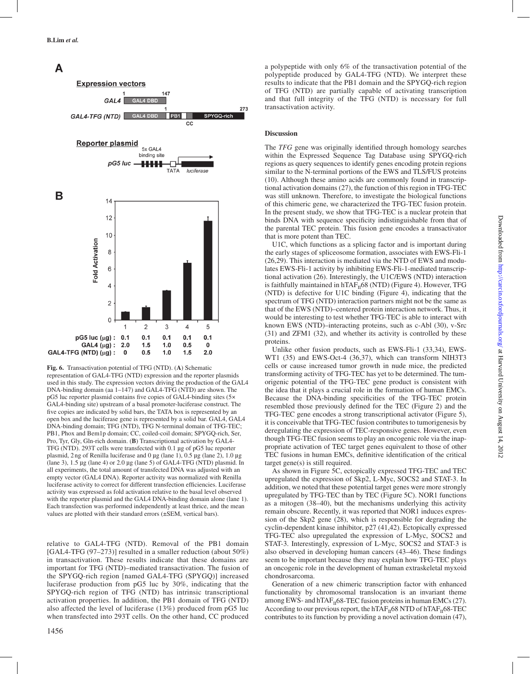#### A **Expression vectors** 147  $GAI$   $A$ SPYGQ-rich GAL4-TFG (NTD) GAL4 DBD  $P<sub>B1</sub>$ C.C Reporter plasmid 5x GAL4 binding site pG5 luc -HHH TATA luciferase B  $12$  $12$  $10$ Fold Activation 8 6  $\overline{4}$  $\overline{2}$  $\Omega$ 5  $\mathfrak{D}$  $\mathcal{E}$  $\overline{4}$  $\mathbf{1}$  $pG5$  luc ( $\mu$ g) : 0.1  $0.1$  $0.1$  $0.1$  $0.1$ GAL4  $(\mu g)$  : 2.0  $1.0$  $0.5$  $\pmb{0}$  $1.5$ GAL4-TFG (NTD)  $(\mu g)$ :  $0.5$  $1.0$  $1.5$  $2.0$  $\overline{\phantom{a}}$

**Fig. 6.** Transactivation potential of TFG (NTD). (**A**) Schematic

representation of GAL4-TFG (NTD) expression and the reporter plasmids used in this study. The expression vectors driving the production of the GAL4 DNA-binding domain (aa 1–147) and GAL4-TFG (NTD) are shown. The pG5 luc reporter plasmid contains five copies of GAL4-binding sites (5× GAL4-binding site) upstream of a basal promoter-luciferase construct. The five copies are indicated by solid bars, the TATA box is represented by an open box and the luciferase gene is represented by a solid bar. GAL4, GAL4 DNA-binding domain; TFG (NTD), TFG N-terminal domain of TFG-TEC; PB1, Phox and Bem1p domain; CC, coiled-coil domain; SPYGQ-rich, Ser, Pro, Tyr, Gly, Gln-rich domain. (**B**) Transcriptional activation by GAL4- TFG (NTD). 293T cells were transfected with 0.1 µg of pG5 luc reporter plasmid, 2ng of Renilla luciferase and 0 µg (lane 1), 0.5 µg (lane 2), 1.0 µg (lane 3), 1.5 µg (lane 4) or 2.0 µg (lane 5) of GAL4-TFG (NTD) plasmid. In all experiments, the total amount of transfected DNA was adjusted with an empty vector (GAL4 DNA). Reporter activity was normalized with Renilla luciferase activity to correct for different transfection efficiencies. Luciferase activity was expressed as fold activation relative to the basal level observed with the reporter plasmid and the GAL4 DNA-binding domain alone (lane 1). Each transfection was performed independently at least thrice, and the mean values are plotted with their standard errors (±SEM, vertical bars).

relative to GAL4-TFG (NTD). Removal of the PB1 domain [GAL4-TFG (97–273)] resulted in a smaller reduction (about 50%) in transactivation. These results indicate that these domains are important for TFG (NTD)–mediated transactivation. The fusion of the SPYGQ-rich region [named GAL4-TFG (SPYGQ)] increased luciferase production from pG5 luc by 30%, indicating that the SPYGQ-rich region of TFG (NTD) has intrinsic transcriptional activation properties. In addition, the PB1 domain of TFG (NTD) also affected the level of luciferase (13%) produced from pG5 luc when transfected into 293T cells. On the other hand, CC produced

a polypeptide with only 6% of the transactivation potential of the polypeptide produced by GAL4-TFG (NTD). We interpret these results to indicate that the PB1 domain and the SPYGQ-rich region of TFG (NTD) are partially capable of activating transcription and that full integrity of the TFG (NTD) is necessary for full transactivation activity.

# **Discussion**

273

The *TFG* gene was originally identified through homology searches within the Expressed Sequence Tag Database using SPYGQ-rich regions as query sequences to identify genes encoding protein regions similar to the N-terminal portions of the EWS and TLS/FUS proteins (10). Although these amino acids are commonly found in transcriptional activation domains (27), the function of this region in TFG-TEC was still unknown. Therefore, to investigate the biological functions of this chimeric gene, we characterized the TFG-TEC fusion protein. In the present study, we show that TFG-TEC is a nuclear protein that binds DNA with sequence specificity indistinguishable from that of the parental TEC protein. This fusion gene encodes a transactivator that is more potent than TEC.

U1C, which functions as a splicing factor and is important during the early stages of spliceosome formation, associates with EWS-Fli-1 (26,29). This interaction is mediated via the NTD of EWS and modulates EWS-Fli-1 activity by inhibiting EWS-Fli-1-mediated transcriptional activation (26). Interestingly, the U1C/EWS (NTD) interaction is faithfully maintained in hTAF $_{II}$ 68 (NTD) (Figure 4). However, TFG (NTD) is defective for U1C binding (Figure 4), indicating that the spectrum of TFG (NTD) interaction partners might not be the same as that of the EWS (NTD)–centered protein interaction network. Thus, it would be interesting to test whether TFG-TEC is able to interact with known EWS (NTD)–interacting proteins, such as c-Abl (30), v-Src (31) and ZFM1 (32), and whether its activity is controlled by these proteins.

Unlike other fusion products, such as EWS-Fli-1 (33,34), EWS-WT1 (35) and EWS-Oct-4 (36,37), which can transform NIH3T3 cells or cause increased tumor growth in nude mice, the predicted transforming activity of TFG-TEC has yet to be determined. The tumorigenic potential of the TFG-TEC gene product is consistent with the idea that it plays a crucial role in the formation of human EMCs. Because the DNA-binding specificities of the TFG-TEC protein resembled those previously defined for the TEC (Figure 2) and the TFG-TEC gene encodes a strong transcriptional activator (Figure 5), it is conceivable that TFG-TEC fusion contributes to tumorigenesis by deregulating the expression of TEC-responsive genes. However, even though TFG-TEC fusion seems to play an oncogenic role via the inappropriate activation of TEC target genes equivalent to those of other TEC fusions in human EMCs, definitive identification of the critical target gene(s) is still required.

As shown in Figure 5C, ectopically expressed TFG-TEC and TEC upregulated the expression of Skp2, L-Myc, SOCS2 and STAT-3. In addition, we noted that these potential target genes were more strongly upregulated by TFG-TEC than by TEC (Figure 5C). NOR1 functions as a mitogen (38–40), but the mechanisms underlying this activity remain obscure. Recently, it was reported that NOR1 induces expression of the Skp2 gene (28), which is responsible for degrading the cyclin-dependent kinase inhibitor, p27 (41,42). Ectopically expressed TFG-TEC also upregulated the expression of L-Myc, SOCS2 and STAT-3. Interestingly, expression of L-Myc, SOCS2 and STAT-3 is also observed in developing human cancers (43–46). These findings seem to be important because they may explain how TFG-TEC plays an oncogenic role in the development of human extraskeletal myxoid chondrosarcoma.

Generation of a new chimeric transcription factor with enhanced functionality by chromosomal translocation is an invariant theme among EWS- and hTAF $_{II}$ 68-TEC fusion proteins in human EMCs (27). According to our previous report, the hTAF<sub>II</sub>68 NTD of hTAF<sub>II</sub>68-TEC contributes to its function by providing a novel activation domain (47),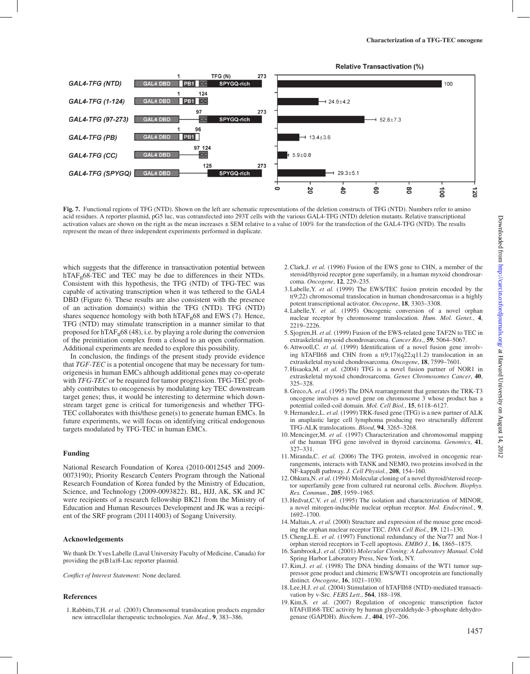

**Fig. 7.** Functional regions of TFG (NTD). Shown on the left are schematic representations of the deletion constructs of TFG (NTD). Numbers refer to amino acid residues. A reporter plasmid, pG5 luc, was cotransfected into 293T cells with the various GAL4-TFG (NTD) deletion mutants. Relative transcriptional activation values are shown on the right as the mean increases ± SEM relative to a value of 100% for the transfection of the GAL4-TFG (NTD). The results represent the mean of three independent experiments performed in duplicate.

which suggests that the difference in transactivation potential between hTAF $_{II}$ 68-TEC and TEC may be due to differences in their NTDs. Consistent with this hypothesis, the TFG (NTD) of TFG-TEC was capable of activating transcription when it was tethered to the GAL4 DBD (Figure 6). These results are also consistent with the presence of an activation domain(s) within the TFG (NTD). TFG (NTD) shares sequence homology with both  $hTAF<sub>II</sub>68$  and EWS (7). Hence, TFG (NTD) may stimulate transcription in a manner similar to that proposed for  $hTAF<sub>n</sub>68$  (48), i.e. by playing a role during the conversion of the preinitiation complex from a closed to an open conformation. Additional experiments are needed to explore this possibility.

In conclusion, the findings of the present study provide evidence that *TGF-TEC* is a potential oncogene that may be necessary for tumorigenesis in human EMCs although additional genes may co-operate with *TFG-TEC* or be required for tumor progression. TFG-TEC probably contributes to oncogenesis by modulating key TEC downstream target genes; thus, it would be interesting to determine which downstream target gene is critical for tumorigenesis and whether TFG-TEC collaborates with this/these gene(s) to generate human EMCs. In future experiments, we will focus on identifying critical endogenous targets modulated by TFG-TEC in human EMCs.

## **Funding**

National Research Foundation of Korea (2010-0012545 and 2009- 0073190); Priority Research Centers Program through the National Research Foundation of Korea funded by the Ministry of Education, Science, and Technology (2009-0093822). BL, HJJ, AK, SK and JC were recipients of a research fellowship BK21 from the Ministry of Education and Human Resources Development and JK was a recipient of the SRF program (201114003) of Sogang University.

## **Acknowledgements**

We thank Dr. Yves Labelle (Laval University Faculty of Medicine, Canada) for providing the p(B1a)8-Luc reporter plasmid.

*Conflict of Interest Statement:* None declared.

## **References**

1.Rabbitts,T.H. *et al.* (2003) Chromosomal translocation products engender new intracellular therapeutic technologies. *Nat. Med.*, **9**, 383–386.

- 2.Clark,J. *et al.* (1996) Fusion of the EWS gene to CHN, a member of the steroid/thyroid receptor gene superfamily, in a human myxoid chondrosarcoma. *Oncogene*, **12**, 229–235.
- 3.Labelle,Y. *et al.* (1999) The EWS/TEC fusion protein encoded by the t(9;22) chromosomal translocation in human chondrosarcomas is a highly potent transcriptional activator. *Oncogene*, **18**, 3303–3308.
- 4.Labelle,Y. *et al.* (1995) Oncogenic conversion of a novel orphan nuclear receptor by chromosome translocation. *Hum. Mol. Genet.*, **4**, 2219–2226.
- 5.Sjogren,H. *et al.* (1999) Fusion of the EWS-related gene TAF2N to TEC in extraskeletal myxoid chondrosarcoma. *Cancer Res.*, **59**, 5064–5067.
- 6.Attwooll,C. *et al.* (1999) Identification of a novel fusion gene involving hTAFII68 and CHN from a t(9;17)(q22;q11.2) translocation in an extraskeletal myxoid chondrosarcoma. *Oncogene*, **18**, 7599–7601.
- 7.Hisaoka,M. *et al.* (2004) TFG is a novel fusion partner of NOR1 in extraskeletal myxoid chondrosarcoma. *Genes Chromosomes Cancer*, **40**, 325–328.
- 8.Greco,A. *et al.* (1995) The DNA rearrangement that generates the TRK-T3 oncogene involves a novel gene on chromosome 3 whose product has a potential coiled-coil domain. *Mol. Cell Biol.*, **15**, 6118–6127.
- 9.Hernandez,L. *et al.* (1999) TRK-fused gene (TFG) is a new partner of ALK in anaplastic large cell lymphoma producing two structurally different TFG-ALK translocations. *Blood*, **94**, 3265–3268.
- 10.Mencinger,M. *et al.* (1997) Characterization and chromosomal mapping of the human TFG gene involved in thyroid carcinoma. *Genomics*, **41**, 327–331.
- 11.Miranda,C. *et al.* (2006) The TFG protein, involved in oncogenic rearrangements, interacts with TANK and NEMO, two proteins involved in the NF-kappaB pathway. *J. Cell Physiol.*, **208**, 154–160.
- 12.Ohkura,N. *et al.* (1994) Molecular cloning of a novel thyroid/steroid receptor superfamily gene from cultured rat neuronal cells. *Biochem. Biophys. Res. Commun.*, **205**, 1959–1965.
- 13.Hedvat,C.V. *et al.* (1995) The isolation and characterization of MINOR, a novel mitogen-inducible nuclear orphan receptor. *Mol. Endocrinol.*, **9**, 1692–1700.
- 14.Maltais,A. *et al.* (2000) Structure and expression of the mouse gene encoding the orphan nuclear receptor TEC. *DNA Cell Biol.*, **19**, 121–130.
- 15.Cheng,L.E. *et al.* (1997) Functional redundancy of the Nur77 and Nor-1 orphan steroid receptors in T-cell apoptosis. *EMBO J.*, **16**, 1865–1875.
- 16.Sambrook,J. *et al.* (2001) *Molecular Cloning: A Laboratory Manual*. Cold Spring Harbor Laboratory Press, New York, NY.
- 17.Kim,J. *et al.* (1998) The DNA binding domains of the WT1 tumor suppressor gene product and chimeric EWS/WT1 oncoprotein are functionally distinct. *Oncogene*, **16**, 1021–1030.
- 18.Lee,H.J. *et al.* (2004) Stimulation of hTAFII68 (NTD)-mediated transactivation by v-Src. *FEBS Lett.*, **564**, 188–198.
- 19.Kim,S. *et al.* (2007) Regulation of oncogenic transcription factor hTAF(II)68-TEC activity by human glyceraldehyde-3-phosphate dehydrogenase (GAPDH). *Biochem. J.*, **404**, 197–206.